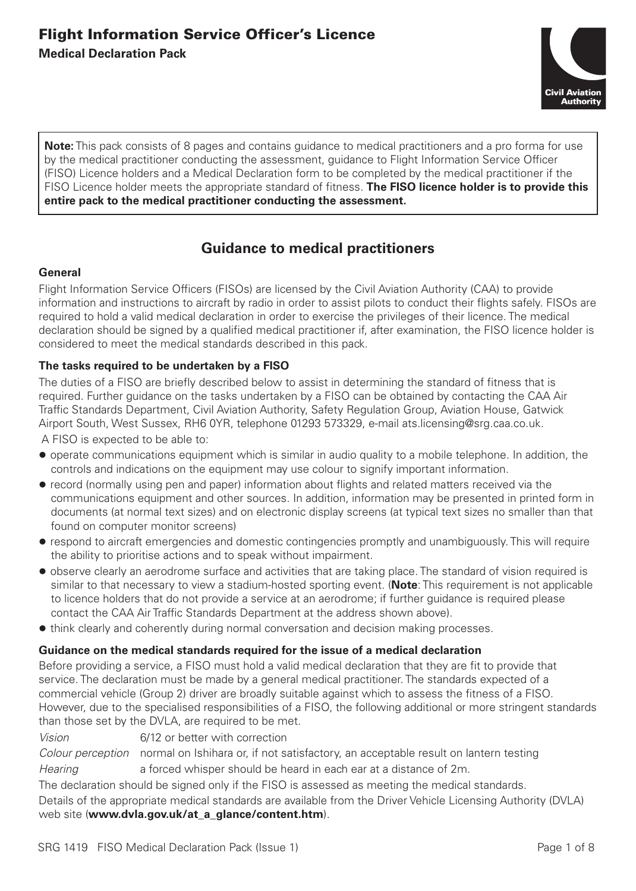

**Note:** This pack consists of 8 pages and contains guidance to medical practitioners and a pro forma for use by the medical practitioner conducting the assessment, guidance to Flight Information Service Officer (FISO) Licence holders and a Medical Declaration form to be completed by the medical practitioner if the FISO Licence holder meets the appropriate standard of fitness. **The FISO licence holder is to provide this entire pack to the medical practitioner conducting the assessment.**

# **Guidance to medical practitioners**

#### **General**

Flight Information Service Officers (FISOs) are licensed by the Civil Aviation Authority (CAA) to provide information and instructions to aircraft by radio in order to assist pilots to conduct their flights safely. FISOs are required to hold a valid medical declaration in order to exercise the privileges of their licence. The medical declaration should be signed by a qualified medical practitioner if, after examination, the FISO licence holder is considered to meet the medical standards described in this pack.

#### **The tasks required to be undertaken by a FISO**

The duties of a FISO are briefly described below to assist in determining the standard of fitness that is required. Further guidance on the tasks undertaken by a FISO can be obtained by contacting the CAA Air Traffic Standards Department, Civil Aviation Authority, Safety Regulation Group, Aviation House, Gatwick Airport South, West Sussex, RH6 0YR, telephone 01293 573329, e-mail ats.licensing@srg.caa.co.uk.

A FISO is expected to be able to:

- l operate communications equipment which is similar in audio quality to a mobile telephone. In addition, the controls and indications on the equipment may use colour to signify important information.
- record (normally using pen and paper) information about flights and related matters received via the communications equipment and other sources. In addition, information may be presented in printed form in documents (at normal text sizes) and on electronic display screens (at typical text sizes no smaller than that found on computer monitor screens)
- $\bullet$  respond to aircraft emergencies and domestic contingencies promptly and unambiguously. This will require the ability to prioritise actions and to speak without impairment.
- observe clearly an aerodrome surface and activities that are taking place. The standard of vision required is similar to that necessary to view a stadium-hosted sporting event. (**Note**: This requirement is not applicable to licence holders that do not provide a service at an aerodrome; if further guidance is required please contact the CAA Air Traffic Standards Department at the address shown above).
- $\bullet$  think clearly and coherently during normal conversation and decision making processes.

#### **Guidance on the medical standards required for the issue of a medical declaration**

Before providing a service, a FISO must hold a valid medical declaration that they are fit to provide that service. The declaration must be made by a general medical practitioner. The standards expected of a commercial vehicle (Group 2) driver are broadly suitable against which to assess the fitness of a FISO. However, due to the specialised responsibilities of a FISO, the following additional or more stringent standards than those set by the DVLA, are required to be met.

*Vision* 6/12 or better with correction

*Colour perception* normal on Ishihara or, if not satisfactory, an acceptable result on lantern testing *Hearing* a forced whisper should be heard in each ear at a distance of 2m.

The declaration should be signed only if the FISO is assessed as meeting the medical standards. Details of the appropriate medical standards are available from the Driver Vehicle Licensing Authority (DVLA) web site (**www.dvla.gov.uk/at\_a\_glance/content.htm**).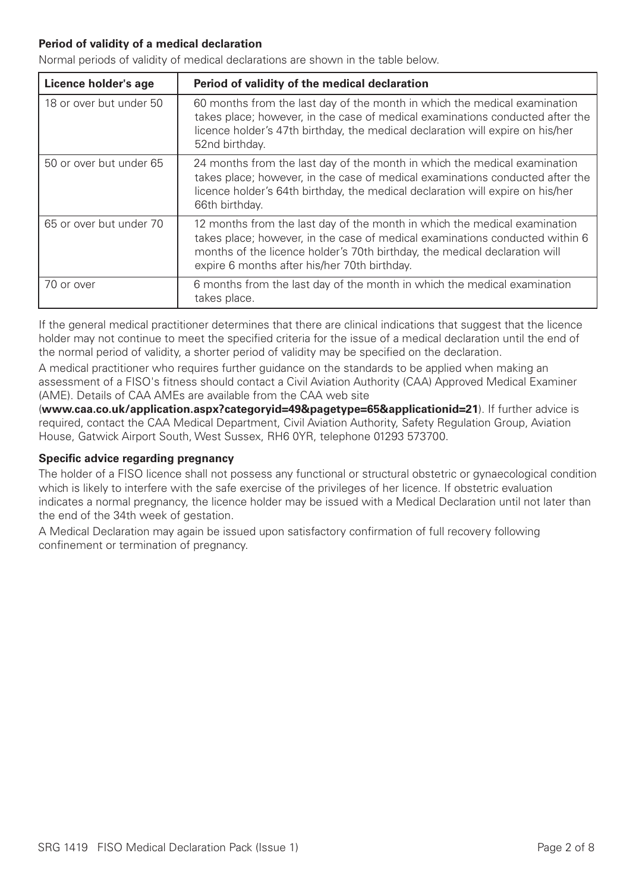### **Period of validity of a medical declaration**

Normal periods of validity of medical declarations are shown in the table below.

| Licence holder's age    | Period of validity of the medical declaration                                                                                                                                                                                                                                           |
|-------------------------|-----------------------------------------------------------------------------------------------------------------------------------------------------------------------------------------------------------------------------------------------------------------------------------------|
| 18 or over but under 50 | 60 months from the last day of the month in which the medical examination<br>takes place; however, in the case of medical examinations conducted after the<br>licence holder's 47th birthday, the medical declaration will expire on his/her<br>52nd birthday.                          |
| 50 or over but under 65 | 24 months from the last day of the month in which the medical examination<br>takes place; however, in the case of medical examinations conducted after the<br>licence holder's 64th birthday, the medical declaration will expire on his/her<br>66th birthday.                          |
| 65 or over but under 70 | 12 months from the last day of the month in which the medical examination<br>takes place; however, in the case of medical examinations conducted within 6<br>months of the licence holder's 70th birthday, the medical declaration will<br>expire 6 months after his/her 70th birthday. |
| 70 or over              | 6 months from the last day of the month in which the medical examination<br>takes place.                                                                                                                                                                                                |

If the general medical practitioner determines that there are clinical indications that suggest that the licence holder may not continue to meet the specified criteria for the issue of a medical declaration until the end of the normal period of validity, a shorter period of validity may be specified on the declaration.

A medical practitioner who requires further guidance on the standards to be applied when making an assessment of a FISO's fitness should contact a Civil Aviation Authority (CAA) Approved Medical Examiner (AME). Details of CAA AMEs are available from the CAA web site

(**www.caa.co.uk/application.aspx?categoryid=49&pagetype=65&applicationid=21**). If further advice is required, contact the CAA Medical Department, Civil Aviation Authority, Safety Regulation Group, Aviation House, Gatwick Airport South, West Sussex, RH6 0YR, telephone 01293 573700.

#### **Specific advice regarding pregnancy**

The holder of a FISO licence shall not possess any functional or structural obstetric or gynaecological condition which is likely to interfere with the safe exercise of the privileges of her licence. If obstetric evaluation indicates a normal pregnancy, the licence holder may be issued with a Medical Declaration until not later than the end of the 34th week of gestation.

A Medical Declaration may again be issued upon satisfactory confirmation of full recovery following confinement or termination of pregnancy.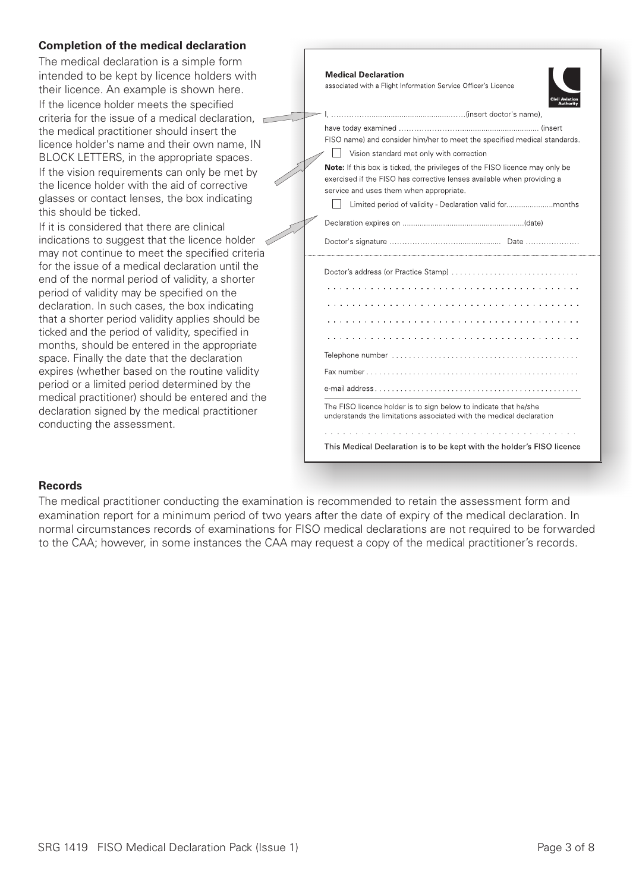#### **Completion of the medical declaration**

The medical declaration is a simple form intended to be kept by licence holders with their licence. An example is shown here.

If the licence holder meets the specified criteria for the issue of a medical declaration, the medical practitioner should insert the licence holder's name and their own name, IN BLOCK LETTERS, in the appropriate spaces. If the vision requirements can only be met by the licence holder with the aid of corrective glasses or contact lenses, the box indicating this should be ticked.

If it is considered that there are clinical indications to suggest that the licence holder  $\mathcal D$ may not continue to meet the specified criteria for the issue of a medical declaration until the end of the normal period of validity, a shorter period of validity may be specified on the declaration. In such cases, the box indicating that a shorter period validity applies should be ticked and the period of validity, specified in months, should be entered in the appropriate space. Finally the date that the declaration expires (whether based on the routine validity period or a limited period determined by the medical practitioner) should be entered and the declaration signed by the medical practitioner conducting the assessment.

| <b>Medical Declaration</b><br>associated with a Flight Information Service Officer's Licence                                                                                                     |
|--------------------------------------------------------------------------------------------------------------------------------------------------------------------------------------------------|
|                                                                                                                                                                                                  |
| FISO name) and consider him/her to meet the specified medical standards.<br>Vision standard met only with correction                                                                             |
| Note: If this box is ticked, the privileges of the FISO licence may only be<br>exercised if the FISO has corrective lenses available when providing a<br>service and uses them when appropriate. |
|                                                                                                                                                                                                  |
|                                                                                                                                                                                                  |
|                                                                                                                                                                                                  |
|                                                                                                                                                                                                  |
|                                                                                                                                                                                                  |
|                                                                                                                                                                                                  |
|                                                                                                                                                                                                  |
| .                                                                                                                                                                                                |
|                                                                                                                                                                                                  |
|                                                                                                                                                                                                  |
|                                                                                                                                                                                                  |
| The FISO licence holder is to sign below to indicate that he/she<br>understands the limitations associated with the medical declaration                                                          |
|                                                                                                                                                                                                  |
| This Medical Declaration is to be kept with the holder's FISO licence                                                                                                                            |
|                                                                                                                                                                                                  |

#### **Records**

The medical practitioner conducting the examination is recommended to retain the assessment form and examination report for a minimum period of two years after the date of expiry of the medical declaration. In normal circumstances records of examinations for FISO medical declarations are not required to be forwarded to the CAA; however, in some instances the CAA may request a copy of the medical practitioner's records.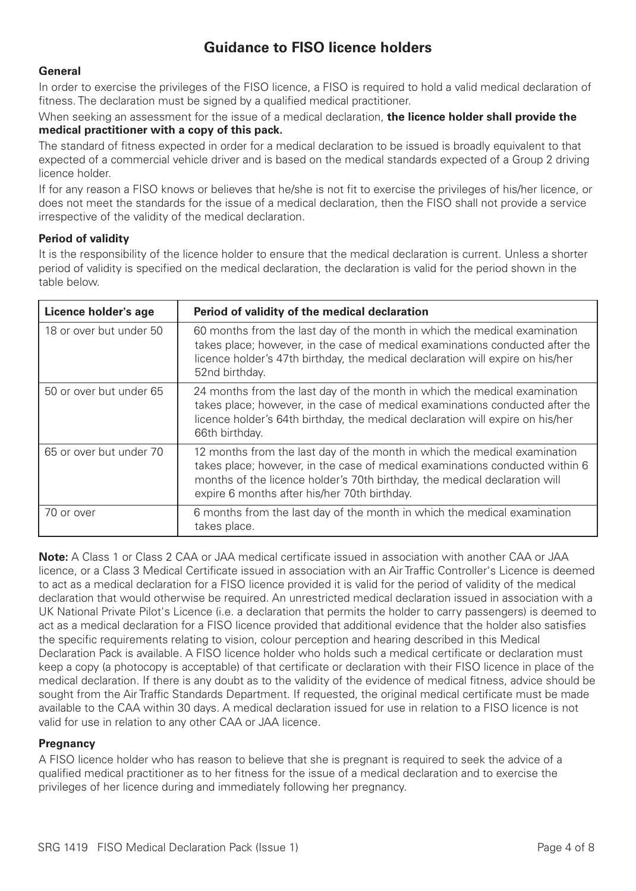# **Guidance to FISO licence holders**

#### **General**

In order to exercise the privileges of the FISO licence, a FISO is required to hold a valid medical declaration of fitness. The declaration must be signed by a qualified medical practitioner.

When seeking an assessment for the issue of a medical declaration, **the licence holder shall provide the medical practitioner with a copy of this pack.**

The standard of fitness expected in order for a medical declaration to be issued is broadly equivalent to that expected of a commercial vehicle driver and is based on the medical standards expected of a Group 2 driving licence holder.

If for any reason a FISO knows or believes that he/she is not fit to exercise the privileges of his/her licence, or does not meet the standards for the issue of a medical declaration, then the FISO shall not provide a service irrespective of the validity of the medical declaration.

#### **Period of validity**

It is the responsibility of the licence holder to ensure that the medical declaration is current. Unless a shorter period of validity is specified on the medical declaration, the declaration is valid for the period shown in the table below.

| Licence holder's age    | Period of validity of the medical declaration                                                                                                                                                                                                                                           |
|-------------------------|-----------------------------------------------------------------------------------------------------------------------------------------------------------------------------------------------------------------------------------------------------------------------------------------|
| 18 or over but under 50 | 60 months from the last day of the month in which the medical examination<br>takes place; however, in the case of medical examinations conducted after the<br>licence holder's 47th birthday, the medical declaration will expire on his/her<br>52nd birthday.                          |
| 50 or over but under 65 | 24 months from the last day of the month in which the medical examination<br>takes place; however, in the case of medical examinations conducted after the<br>licence holder's 64th birthday, the medical declaration will expire on his/her<br>66th birthday.                          |
| 65 or over but under 70 | 12 months from the last day of the month in which the medical examination<br>takes place; however, in the case of medical examinations conducted within 6<br>months of the licence holder's 70th birthday, the medical declaration will<br>expire 6 months after his/her 70th birthday. |
| 70 or over              | 6 months from the last day of the month in which the medical examination<br>takes place.                                                                                                                                                                                                |

**Note:** A Class 1 or Class 2 CAA or JAA medical certificate issued in association with another CAA or JAA licence, or a Class 3 Medical Certificate issued in association with an Air Traffic Controller's Licence is deemed to act as a medical declaration for a FISO licence provided it is valid for the period of validity of the medical declaration that would otherwise be required. An unrestricted medical declaration issued in association with a UK National Private Pilot's Licence (i.e. a declaration that permits the holder to carry passengers) is deemed to act as a medical declaration for a FISO licence provided that additional evidence that the holder also satisfies the specific requirements relating to vision, colour perception and hearing described in this Medical Declaration Pack is available. A FISO licence holder who holds such a medical certificate or declaration must keep a copy (a photocopy is acceptable) of that certificate or declaration with their FISO licence in place of the medical declaration. If there is any doubt as to the validity of the evidence of medical fitness, advice should be sought from the Air Traffic Standards Department. If requested, the original medical certificate must be made available to the CAA within 30 days. A medical declaration issued for use in relation to a FISO licence is not valid for use in relation to any other CAA or JAA licence.

#### **Pregnancy**

A FISO licence holder who has reason to believe that she is pregnant is required to seek the advice of a qualified medical practitioner as to her fitness for the issue of a medical declaration and to exercise the privileges of her licence during and immediately following her pregnancy.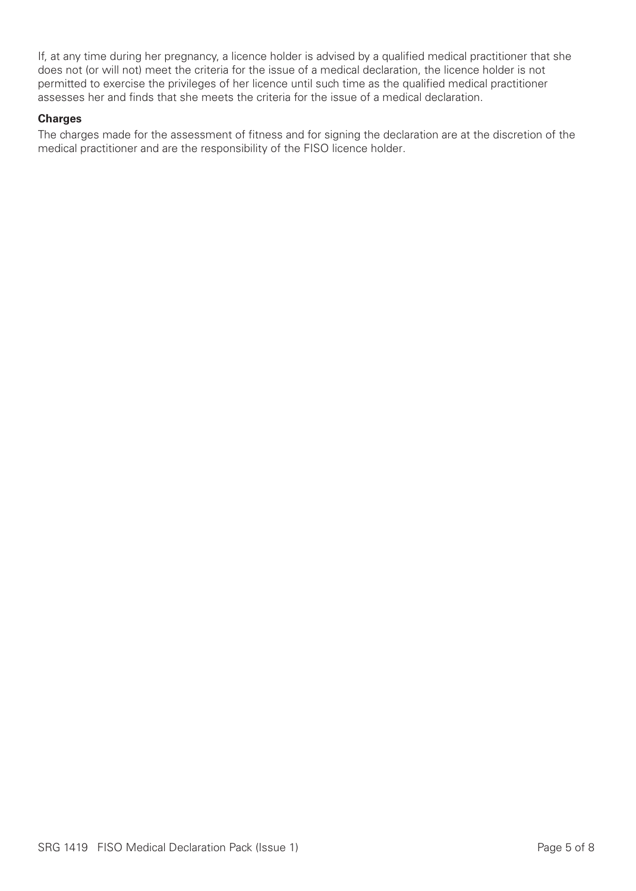If, at any time during her pregnancy, a licence holder is advised by a qualified medical practitioner that she does not (or will not) meet the criteria for the issue of a medical declaration, the licence holder is not permitted to exercise the privileges of her licence until such time as the qualified medical practitioner assesses her and finds that she meets the criteria for the issue of a medical declaration.

#### **Charges**

The charges made for the assessment of fitness and for signing the declaration are at the discretion of the medical practitioner and are the responsibility of the FISO licence holder.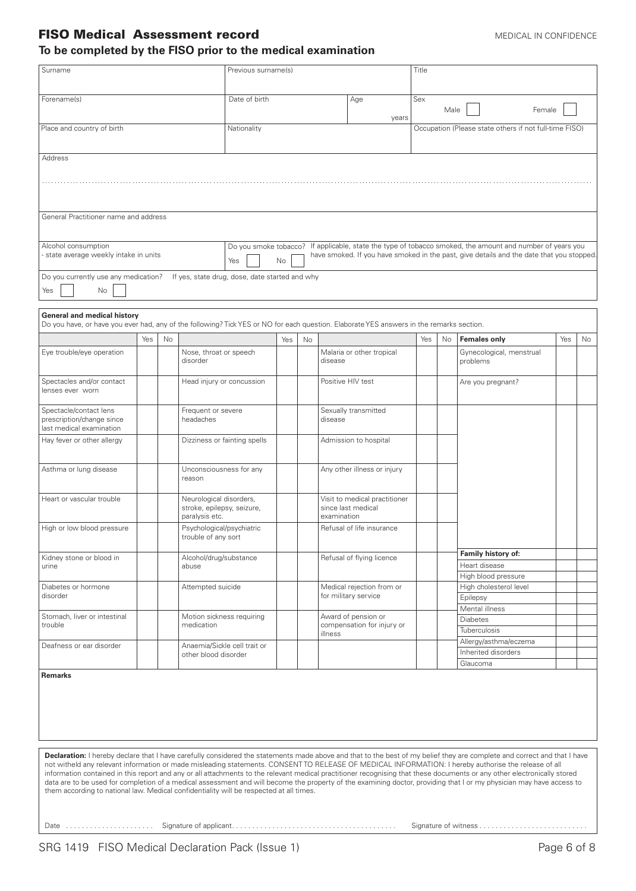### FISO Medical Assessment record MEDICAL IN CONFIDENCE

#### **To be completed by the FISO prior to the medical examination**

| Surname                                                                                                                                                                                                                                                                                                                                                                                                                                                                                                                                                                                                                                                                                                                                                                        |     |    |                                                                         | Previous surname(s)                            |     |    |                   |                                                     | Title |      |                                                                                                                                                                                                       |     |    |
|--------------------------------------------------------------------------------------------------------------------------------------------------------------------------------------------------------------------------------------------------------------------------------------------------------------------------------------------------------------------------------------------------------------------------------------------------------------------------------------------------------------------------------------------------------------------------------------------------------------------------------------------------------------------------------------------------------------------------------------------------------------------------------|-----|----|-------------------------------------------------------------------------|------------------------------------------------|-----|----|-------------------|-----------------------------------------------------|-------|------|-------------------------------------------------------------------------------------------------------------------------------------------------------------------------------------------------------|-----|----|
|                                                                                                                                                                                                                                                                                                                                                                                                                                                                                                                                                                                                                                                                                                                                                                                |     |    |                                                                         | Date of birth                                  |     |    |                   |                                                     | Sex   |      |                                                                                                                                                                                                       |     |    |
| Forename(s)                                                                                                                                                                                                                                                                                                                                                                                                                                                                                                                                                                                                                                                                                                                                                                    |     |    |                                                                         |                                                |     |    |                   | Age<br>years                                        |       | Male | Female                                                                                                                                                                                                |     |    |
| Place and country of birth                                                                                                                                                                                                                                                                                                                                                                                                                                                                                                                                                                                                                                                                                                                                                     |     |    |                                                                         | Nationality                                    |     |    |                   |                                                     |       |      | Occupation (Please state others if not full-time FISO)                                                                                                                                                |     |    |
| Address                                                                                                                                                                                                                                                                                                                                                                                                                                                                                                                                                                                                                                                                                                                                                                        |     |    |                                                                         |                                                |     |    |                   |                                                     |       |      |                                                                                                                                                                                                       |     |    |
|                                                                                                                                                                                                                                                                                                                                                                                                                                                                                                                                                                                                                                                                                                                                                                                |     |    |                                                                         |                                                |     |    |                   |                                                     |       |      |                                                                                                                                                                                                       |     |    |
| General Practitioner name and address                                                                                                                                                                                                                                                                                                                                                                                                                                                                                                                                                                                                                                                                                                                                          |     |    |                                                                         |                                                |     |    |                   |                                                     |       |      |                                                                                                                                                                                                       |     |    |
|                                                                                                                                                                                                                                                                                                                                                                                                                                                                                                                                                                                                                                                                                                                                                                                |     |    |                                                                         |                                                |     |    |                   |                                                     |       |      |                                                                                                                                                                                                       |     |    |
| Alcohol consumption<br>- state average weekly intake in units                                                                                                                                                                                                                                                                                                                                                                                                                                                                                                                                                                                                                                                                                                                  |     |    |                                                                         | Yes                                            | No  |    |                   |                                                     |       |      | Do you smoke tobacco? If applicable, state the type of tobacco smoked, the amount and number of years you<br>have smoked. If you have smoked in the past, give details and the date that you stopped. |     |    |
| Do you currently use any medication?<br>No<br>Yes                                                                                                                                                                                                                                                                                                                                                                                                                                                                                                                                                                                                                                                                                                                              |     |    |                                                                         | If yes, state drug, dose, date started and why |     |    |                   |                                                     |       |      |                                                                                                                                                                                                       |     |    |
| <b>General and medical history</b>                                                                                                                                                                                                                                                                                                                                                                                                                                                                                                                                                                                                                                                                                                                                             |     |    |                                                                         |                                                |     |    |                   |                                                     |       |      |                                                                                                                                                                                                       |     |    |
| Do you have, or have you ever had, any of the following? Tick YES or NO for each question. Elaborate YES answers in the remarks section.                                                                                                                                                                                                                                                                                                                                                                                                                                                                                                                                                                                                                                       |     |    |                                                                         |                                                |     |    |                   |                                                     |       |      |                                                                                                                                                                                                       |     |    |
|                                                                                                                                                                                                                                                                                                                                                                                                                                                                                                                                                                                                                                                                                                                                                                                | Yes | No |                                                                         |                                                | Yes | No |                   |                                                     | Yes   | No   | <b>Females only</b>                                                                                                                                                                                   | Yes | No |
| Eye trouble/eye operation                                                                                                                                                                                                                                                                                                                                                                                                                                                                                                                                                                                                                                                                                                                                                      |     |    | Nose, throat or speech<br>disorder                                      |                                                |     |    | disease           | Malaria or other tropical                           |       |      | Gynecological, menstrual<br>problems                                                                                                                                                                  |     |    |
| Spectacles and/or contact<br>lenses ever worn                                                                                                                                                                                                                                                                                                                                                                                                                                                                                                                                                                                                                                                                                                                                  |     |    | Head injury or concussion                                               |                                                |     |    | Positive HIV test |                                                     |       |      | Are you pregnant?                                                                                                                                                                                     |     |    |
| Spectacle/contact lens<br>prescription/change since<br>last medical examination                                                                                                                                                                                                                                                                                                                                                                                                                                                                                                                                                                                                                                                                                                |     |    | Frequent or severe<br>headaches                                         |                                                |     |    | disease           | Sexually transmitted                                |       |      |                                                                                                                                                                                                       |     |    |
| Hay fever or other allergy                                                                                                                                                                                                                                                                                                                                                                                                                                                                                                                                                                                                                                                                                                                                                     |     |    | Dizziness or fainting spells                                            |                                                |     |    |                   | Admission to hospital                               |       |      |                                                                                                                                                                                                       |     |    |
| Asthma or lung disease                                                                                                                                                                                                                                                                                                                                                                                                                                                                                                                                                                                                                                                                                                                                                         |     |    | Unconsciousness for any<br>reason                                       |                                                |     |    |                   | Any other illness or injury                         |       |      |                                                                                                                                                                                                       |     |    |
| Heart or vascular trouble                                                                                                                                                                                                                                                                                                                                                                                                                                                                                                                                                                                                                                                                                                                                                      |     |    | Neurological disorders,<br>stroke, epilepsy, seizure,<br>paralysis etc. |                                                |     |    | examination       | Visit to medical practitioner<br>since last medical |       |      |                                                                                                                                                                                                       |     |    |
| High or low blood pressure                                                                                                                                                                                                                                                                                                                                                                                                                                                                                                                                                                                                                                                                                                                                                     |     |    | Psychological/psychiatric<br>trouble of any sort                        |                                                |     |    |                   | Refusal of life insurance                           |       |      |                                                                                                                                                                                                       |     |    |
| Kidney stone or blood in                                                                                                                                                                                                                                                                                                                                                                                                                                                                                                                                                                                                                                                                                                                                                       |     |    | Alcohol/drug/substance                                                  |                                                |     |    |                   | Refusal of flying licence                           |       |      | Family history of:                                                                                                                                                                                    |     |    |
| urine                                                                                                                                                                                                                                                                                                                                                                                                                                                                                                                                                                                                                                                                                                                                                                          |     |    | abuse                                                                   |                                                |     |    |                   |                                                     |       |      | Heart disease                                                                                                                                                                                         |     |    |
|                                                                                                                                                                                                                                                                                                                                                                                                                                                                                                                                                                                                                                                                                                                                                                                |     |    |                                                                         |                                                |     |    |                   |                                                     |       |      | High blood pressure                                                                                                                                                                                   |     |    |
| Diabetes or hormone<br>disorder                                                                                                                                                                                                                                                                                                                                                                                                                                                                                                                                                                                                                                                                                                                                                |     |    | Attempted suicide                                                       |                                                |     |    |                   | Medical rejection from or<br>for military service   |       |      | High cholesterol level<br>Epilepsy                                                                                                                                                                    |     |    |
|                                                                                                                                                                                                                                                                                                                                                                                                                                                                                                                                                                                                                                                                                                                                                                                |     |    |                                                                         |                                                |     |    |                   |                                                     |       |      | Mental illness                                                                                                                                                                                        |     |    |
| Stomach, liver or intestinal<br>trouble                                                                                                                                                                                                                                                                                                                                                                                                                                                                                                                                                                                                                                                                                                                                        |     |    | Motion sickness requiring<br>medication                                 |                                                |     |    |                   | Award of pension or<br>compensation for injury or   |       |      | <b>Diabetes</b><br>Tuberculosis                                                                                                                                                                       |     |    |
| Deafness or ear disorder                                                                                                                                                                                                                                                                                                                                                                                                                                                                                                                                                                                                                                                                                                                                                       |     |    | Anaemia/Sickle cell trait or                                            |                                                |     |    | illness           |                                                     |       |      | Allergy/asthma/eczema                                                                                                                                                                                 |     |    |
|                                                                                                                                                                                                                                                                                                                                                                                                                                                                                                                                                                                                                                                                                                                                                                                |     |    | other blood disorder                                                    |                                                |     |    |                   |                                                     |       |      | Inherited disorders<br>Glaucoma                                                                                                                                                                       |     |    |
| <b>Remarks</b>                                                                                                                                                                                                                                                                                                                                                                                                                                                                                                                                                                                                                                                                                                                                                                 |     |    |                                                                         |                                                |     |    |                   |                                                     |       |      |                                                                                                                                                                                                       |     |    |
| Declaration: I hereby declare that I have carefully considered the statements made above and that to the best of my belief they are complete and correct and that I have<br>not witheld any relevant information or made misleading statements. CONSENTTO RELEASE OF MEDICAL INFORMATION: I hereby authorise the release of all<br>information contained in this report and any or all attachments to the relevant medical practitioner recognising that these documents or any other electronically stored<br>data are to be used for completion of a medical assessment and will become the property of the examining doctor, providing that I or my physician may have access to<br>them according to national law. Medical confidentiality will be respected at all times. |     |    |                                                                         |                                                |     |    |                   |                                                     |       |      |                                                                                                                                                                                                       |     |    |

Date . . . . . . . . . . . . . . . . . . . . . . Signature of applicant. . . . . . . . . . . . . . . . . . . . . . . . . . . . . . . . . . . . . . . . . Signature of witness . . . . . . . . . . . . . . . . . . . . . . . . . . .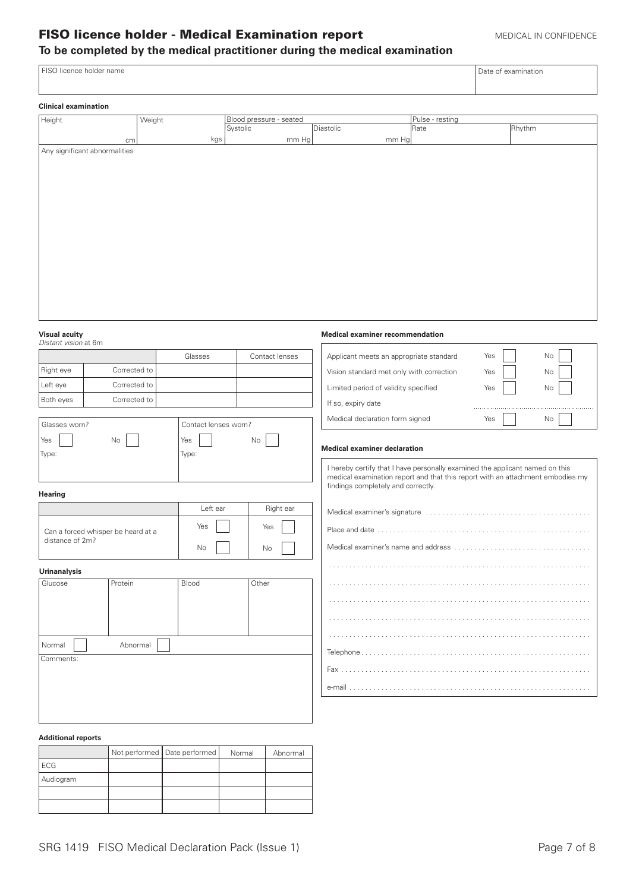## FISO licence holder - Medical Examination report MEDICAL IN CONFIDENCE **To be completed by the medical practitioner during the medical examination**

#### FISO licence holder name Date of examination Date of examination

| <b>Clinical examination</b>   |        |                         |           |                 |        |
|-------------------------------|--------|-------------------------|-----------|-----------------|--------|
| Height                        | Weight | Blood pressure - seated |           | Pulse - resting |        |
|                               |        | Systolic                | Diastolic | Rate            | Rhythm |
| cm                            | kgs    | mm Hg                   | mm Hg     |                 |        |
| Any significant abnormalities |        |                         |           |                 |        |
|                               |        |                         |           |                 |        |
|                               |        |                         |           |                 |        |
|                               |        |                         |           |                 |        |
|                               |        |                         |           |                 |        |
|                               |        |                         |           |                 |        |
|                               |        |                         |           |                 |        |
|                               |        |                         |           |                 |        |
|                               |        |                         |           |                 |        |
|                               |        |                         |           |                 |        |
|                               |        |                         |           |                 |        |
|                               |        |                         |           |                 |        |
|                               |        |                         |           |                 |        |
|                               |        |                         |           |                 |        |
|                               |        |                         |           |                 |        |

**Medical examiner recommendation**

## **Visual acuity**<br>Distant vision

| v isuai acuity<br>Distant vision at 6m |                                    |                      |                | <b>IVIEGICAL EXAMPLE TECOMMENTATION</b>                                                                                                                                                              |           |
|----------------------------------------|------------------------------------|----------------------|----------------|------------------------------------------------------------------------------------------------------------------------------------------------------------------------------------------------------|-----------|
|                                        |                                    | Glasses              | Contact lenses | Applicant meets an appropriate standard                                                                                                                                                              | Yes<br>No |
| Right eye                              | Corrected to                       |                      |                | Vision standard met only with correction                                                                                                                                                             | Yes<br>No |
| Left eye                               | Corrected to                       |                      |                | Limited period of validity specified                                                                                                                                                                 | Yes<br>No |
| Both eyes                              | Corrected to                       |                      |                | If so, expiry date                                                                                                                                                                                   |           |
| Glasses worn?                          |                                    | Contact lenses worn? |                | Medical declaration form signed                                                                                                                                                                      | No<br>Yes |
| Yes<br>Type:                           | No                                 | Yes<br>Type:         | No             | <b>Medical examiner declaration</b>                                                                                                                                                                  |           |
|                                        |                                    |                      |                | I hereby certify that I have personally examined the applicant named on this<br>medical examination report and that this report with an attachment embodies my<br>findings completely and correctly. |           |
| Hearing                                |                                    |                      |                |                                                                                                                                                                                                      |           |
|                                        |                                    | Left ear             | Right ear      |                                                                                                                                                                                                      |           |
|                                        | Can a forced whisper be heard at a | Yes                  | Yes            |                                                                                                                                                                                                      |           |
| distance of 2m?                        |                                    | No                   | No             |                                                                                                                                                                                                      |           |
| <b>Urinanalysis</b>                    |                                    |                      |                |                                                                                                                                                                                                      |           |
| Glucose                                | Protein                            | Blood                | Other          |                                                                                                                                                                                                      |           |
|                                        |                                    |                      |                |                                                                                                                                                                                                      |           |
|                                        |                                    |                      |                |                                                                                                                                                                                                      |           |
|                                        |                                    |                      |                |                                                                                                                                                                                                      |           |
| Normal<br>Comments:                    | Abnormal                           |                      |                |                                                                                                                                                                                                      |           |
|                                        |                                    |                      |                |                                                                                                                                                                                                      |           |
|                                        |                                    |                      |                |                                                                                                                                                                                                      |           |
|                                        |                                    |                      |                |                                                                                                                                                                                                      |           |

#### **Additional reports**

|           | Not performed   Date performed | Normal | Abnormal |
|-----------|--------------------------------|--------|----------|
| l ECG     |                                |        |          |
| Audiogram |                                |        |          |
|           |                                |        |          |
|           |                                |        |          |